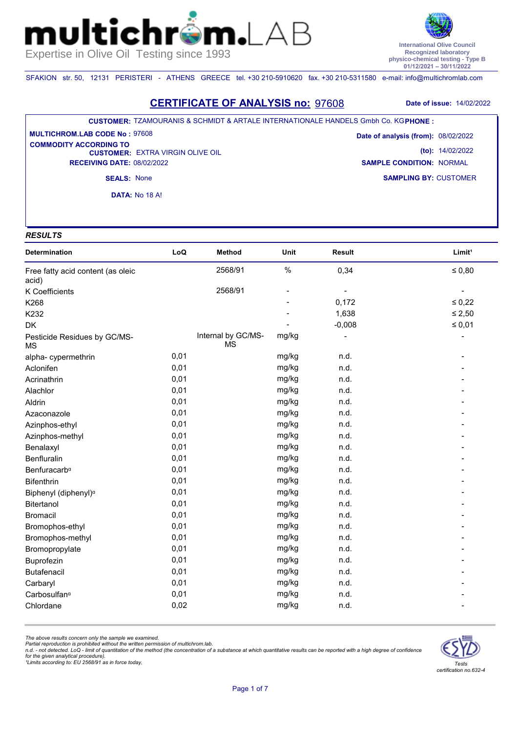**International Olive Council Recognized laboratory physico-chemical testing - Type B 01/12/2021 – 30/11/2022**

SFAKION str. 50, 12131 PERISTERI - ATHENS GREECE tel. +30 210-5910620 fax. +30 210-5311580 e-mail: info@multichromlab.com

 $\mathsf{n}\bot$ 

## **CERTIFICATE OF ANALYSIS no:** 97608 **Date of issue:** 14/02/2022

#### **CUSTOMER:** TZAMOURANIS & SCHMIDT & ARTALE INTERNATIONALE HANDELS Gmbh Co. KG **PHONE :**

**CUSTOMER: EXTRA VIRGIN OLIVE OIL RECEIVING DATE:** 08/02/2022 **MULTICHROM.LAB CODE No :** 97608 **COMMODITY ACCORDING TO** 

**SAMPLING BY:** CUSTOMER **Date of analysis (from):** 08/02/2022 **(to):** 14/02/2022 **SAMPLE CONDITION:** NORMAL

**SEALS:** None **DATA:** Νο 18 Α!

## *RESULTS*

mul

| Determination                             | LoQ  | <b>Method</b>                   | Unit  | Result   | Limit <sup>1</sup> |
|-------------------------------------------|------|---------------------------------|-------|----------|--------------------|
| Free fatty acid content (as oleic         |      | 2568/91                         | $\%$  | 0,34     | $\leq 0.80$        |
| acid)                                     |      | 2568/91                         |       |          |                    |
| K Coefficients                            |      |                                 |       | 0,172    | $\leq 0{,}22$      |
| K268                                      |      |                                 |       | 1,638    | $\leq 2,50$        |
| K232                                      |      |                                 |       | $-0,008$ |                    |
| <b>DK</b>                                 |      |                                 |       |          | $\leq 0.01$        |
| Pesticide Residues by GC/MS-<br><b>MS</b> |      | Internal by GC/MS-<br><b>MS</b> | mg/kg |          |                    |
| alpha-cypermethrin                        | 0,01 |                                 | mg/kg | n.d.     |                    |
| Aclonifen                                 | 0,01 |                                 | mg/kg | n.d.     |                    |
| Acrinathrin                               | 0,01 |                                 | mg/kg | n.d.     |                    |
| Alachlor                                  | 0,01 |                                 | mg/kg | n.d.     |                    |
| Aldrin                                    | 0,01 |                                 | mg/kg | n.d.     |                    |
| Azaconazole                               | 0,01 |                                 | mg/kg | n.d.     |                    |
| Azinphos-ethyl                            | 0,01 |                                 | mg/kg | n.d.     |                    |
| Azinphos-methyl                           | 0,01 |                                 | mg/kg | n.d.     |                    |
| Benalaxyl                                 | 0,01 |                                 | mg/kg | n.d.     |                    |
| Benfluralin                               | 0,01 |                                 | mg/kg | n.d.     |                    |
| Benfuracarb <sup>a</sup>                  | 0,01 |                                 | mg/kg | n.d.     |                    |
| <b>Bifenthrin</b>                         | 0,01 |                                 | mg/kg | n.d.     |                    |
| Biphenyl (diphenyl) <sup>a</sup>          | 0,01 |                                 | mg/kg | n.d.     |                    |
| Bitertanol                                | 0,01 |                                 | mg/kg | n.d.     |                    |
| <b>Bromacil</b>                           | 0,01 |                                 | mg/kg | n.d.     |                    |
| Bromophos-ethyl                           | 0,01 |                                 | mg/kg | n.d.     |                    |
| Bromophos-methyl                          | 0,01 |                                 | mg/kg | n.d.     |                    |
| Bromopropylate                            | 0,01 |                                 | mg/kg | n.d.     |                    |
| Buprofezin                                | 0,01 |                                 | mg/kg | n.d.     |                    |
| <b>Butafenacil</b>                        | 0,01 |                                 | mg/kg | n.d.     |                    |
| Carbaryl                                  | 0,01 |                                 | mg/kg | n.d.     |                    |
| Carbosulfan <sup>a</sup>                  | 0,01 |                                 | mg/kg | n.d.     |                    |
| Chlordane                                 | 0,02 |                                 | mg/kg | n.d.     |                    |

*The above results concern only the sample we examined.* 

Partial reproduction is prohibited without the written permission of multichrom.lab.<br>n.d. - not detected. LoQ - limit of quantitation of the method (the concentration of a substance at which quantitative results can be rep

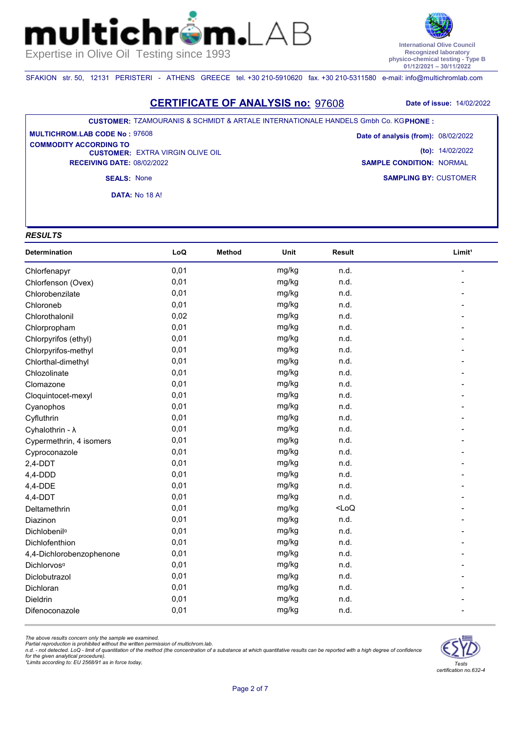

SFAKION str. 50, 12131 PERISTERI - ATHENS GREECE tel. +30 210-5910620 fax. +30 210-5311580 e-mail: info@multichromlab.com

 $\mathsf{n}\bot$ 

### **CERTIFICATE OF ANALYSIS no:** 97608 **Date of issue:** 14/02/2022

#### **CUSTOMER:** TZAMOURANIS & SCHMIDT & ARTALE INTERNATIONALE HANDELS Gmbh Co. KG **PHONE :**

**CUSTOMER: EXTRA VIRGIN OLIVE OIL RECEIVING DATE:** 08/02/2022 **MULTICHROM.LAB CODE No :** 97608 **COMMODITY ACCORDING TO** 

**SAMPLING BY:** CUSTOMER **Date of analysis (from):** 08/02/2022 **(to):** 14/02/2022 **SAMPLE CONDITION:** NORMAL

**SEALS:** None

**DATA:** Νο 18 Α!

### *RESULTS*

mul

| Determination            | LoQ  | <b>Method</b> | Unit  | <b>Result</b> | Limit <sup>1</sup> |
|--------------------------|------|---------------|-------|---------------|--------------------|
| Chlorfenapyr             | 0,01 |               | mg/kg | n.d.          |                    |
| Chlorfenson (Ovex)       | 0,01 |               | mg/kg | n.d.          |                    |
| Chlorobenzilate          | 0,01 |               | mg/kg | n.d.          |                    |
| Chloroneb                | 0,01 |               | mg/kg | n.d.          |                    |
| Chlorothalonil           | 0,02 |               | mg/kg | n.d.          |                    |
| Chlorpropham             | 0,01 |               | mg/kg | n.d.          |                    |
| Chlorpyrifos (ethyl)     | 0,01 |               | mg/kg | n.d.          |                    |
| Chlorpyrifos-methyl      | 0,01 |               | mg/kg | n.d.          |                    |
| Chlorthal-dimethyl       | 0,01 |               | mg/kg | n.d.          |                    |
| Chlozolinate             | 0,01 |               | mg/kg | n.d.          |                    |
| Clomazone                | 0,01 |               | mg/kg | n.d.          |                    |
| Cloquintocet-mexyl       | 0,01 |               | mg/kg | n.d.          |                    |
| Cyanophos                | 0,01 |               | mg/kg | n.d.          |                    |
| Cyfluthrin               | 0,01 |               | mg/kg | n.d.          |                    |
| Cyhalothrin - $\lambda$  | 0,01 |               | mg/kg | n.d.          |                    |
| Cypermethrin, 4 isomers  | 0,01 |               | mg/kg | n.d.          |                    |
| Cyproconazole            | 0,01 |               | mg/kg | n.d.          |                    |
| $2,4-DDT$                | 0,01 |               | mg/kg | n.d.          |                    |
| $4,4$ -DDD               | 0,01 |               | mg/kg | n.d.          |                    |
| 4,4-DDE                  | 0,01 |               | mg/kg | n.d.          |                    |
| $4,4$ -DDT               | 0,01 |               | mg/kg | n.d.          |                    |
| Deltamethrin             | 0,01 |               | mg/kg | $<$ LoQ       |                    |
| Diazinon                 | 0,01 |               | mg/kg | n.d.          |                    |
| Dichlobenil <sup>a</sup> | 0,01 |               | mg/kg | n.d.          |                    |
| Dichlofenthion           | 0,01 |               | mg/kg | n.d.          |                    |
| 4,4-Dichlorobenzophenone | 0,01 |               | mg/kg | n.d.          |                    |
| Dichlorvos <sup>a</sup>  | 0,01 |               | mg/kg | n.d.          |                    |
| Diclobutrazol            | 0,01 |               | mg/kg | n.d.          |                    |
| Dichloran                | 0,01 |               | mg/kg | n.d.          |                    |
| Dieldrin                 | 0,01 |               | mg/kg | n.d.          |                    |
| Difenoconazole           | 0,01 |               | mg/kg | n.d.          |                    |

*The above results concern only the sample we examined.* 

Partial reproduction is prohibited without the written permission of multichrom.lab.<br>n.d. - not detected. LoQ - limit of quantitation of the method (the concentration of a substance at which quantitative results can be rep

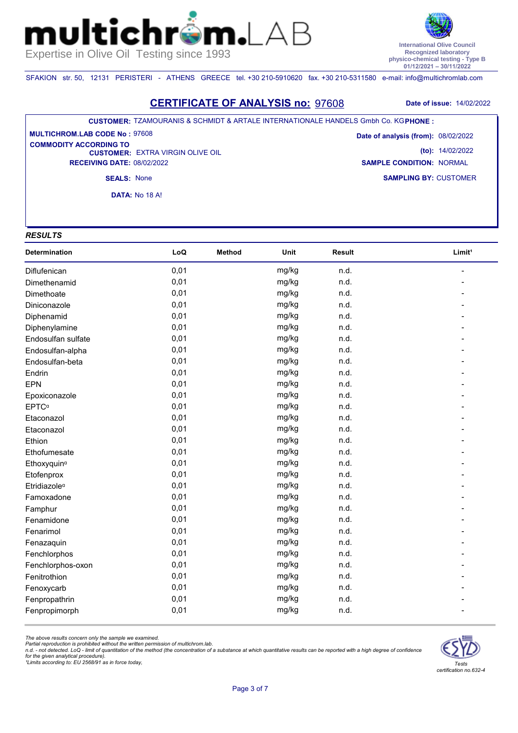

SFAKION str. 50, 12131 PERISTERI - ATHENS GREECE tel. +30 210-5910620 fax. +30 210-5311580 e-mail: info@multichromlab.com

 $\mathsf{n}\bot$ 

### **CERTIFICATE OF ANALYSIS no:** 97608 **Date of issue:** 14/02/2022

#### **CUSTOMER:** TZAMOURANIS & SCHMIDT & ARTALE INTERNATIONALE HANDELS Gmbh Co. KG **PHONE :**

**CUSTOMER: EXTRA VIRGIN OLIVE OIL RECEIVING DATE:** 08/02/2022 **MULTICHROM.LAB CODE No :** 97608 **COMMODITY ACCORDING TO** 

**SAMPLING BY:** CUSTOMER **Date of analysis (from):** 08/02/2022 **(to):** 14/02/2022 **SAMPLE CONDITION:** NORMAL

**SEALS:** None

**DATA:** Νο 18 Α!

## *RESULTS*

mul

| Determination            | LoQ  | <b>Method</b> | Unit  | <b>Result</b> | Limit <sup>1</sup> |
|--------------------------|------|---------------|-------|---------------|--------------------|
| <b>Diflufenican</b>      | 0,01 |               | mg/kg | n.d.          |                    |
| Dimethenamid             | 0,01 |               | mg/kg | n.d.          |                    |
| Dimethoate               | 0,01 |               | mg/kg | n.d.          |                    |
| Diniconazole             | 0,01 |               | mg/kg | n.d.          |                    |
| Diphenamid               | 0,01 |               | mg/kg | n.d.          |                    |
| Diphenylamine            | 0,01 |               | mg/kg | n.d.          |                    |
| Endosulfan sulfate       | 0,01 |               | mg/kg | n.d.          |                    |
| Endosulfan-alpha         | 0,01 |               | mg/kg | n.d.          |                    |
| Endosulfan-beta          | 0,01 |               | mg/kg | n.d.          |                    |
| Endrin                   | 0,01 |               | mg/kg | n.d.          |                    |
| EPN                      | 0,01 |               | mg/kg | n.d.          |                    |
| Epoxiconazole            | 0,01 |               | mg/kg | n.d.          |                    |
| <b>EPTC</b> <sup>a</sup> | 0,01 |               | mg/kg | n.d.          |                    |
| Etaconazol               | 0,01 |               | mg/kg | n.d.          |                    |
| Etaconazol               | 0,01 |               | mg/kg | n.d.          |                    |
| Ethion                   | 0,01 |               | mg/kg | n.d.          |                    |
| Ethofumesate             | 0,01 |               | mg/kg | n.d.          |                    |
| Ethoxyquin <sup>a</sup>  | 0,01 |               | mg/kg | n.d.          |                    |
| Etofenprox               | 0,01 |               | mg/kg | n.d.          |                    |
| Etridiazole <sup>a</sup> | 0,01 |               | mg/kg | n.d.          |                    |
| Famoxadone               | 0,01 |               | mg/kg | n.d.          |                    |
| Famphur                  | 0,01 |               | mg/kg | n.d.          |                    |
| Fenamidone               | 0,01 |               | mg/kg | n.d.          |                    |
| Fenarimol                | 0,01 |               | mg/kg | n.d.          |                    |
| Fenazaquin               | 0,01 |               | mg/kg | n.d.          |                    |
| Fenchlorphos             | 0,01 |               | mg/kg | n.d.          |                    |
| Fenchlorphos-oxon        | 0,01 |               | mg/kg | n.d.          |                    |
| Fenitrothion             | 0,01 |               | mg/kg | n.d.          |                    |
| Fenoxycarb               | 0,01 |               | mg/kg | n.d.          |                    |
| Fenpropathrin            | 0,01 |               | mg/kg | n.d.          |                    |
| Fenpropimorph            | 0,01 |               | mg/kg | n.d.          |                    |

*The above results concern only the sample we examined.* 

Partial reproduction is prohibited without the written permission of multichrom.lab.<br>n.d. - not detected. LoQ - limit of quantitation of the method (the concentration of a substance at which quantitative results can be rep

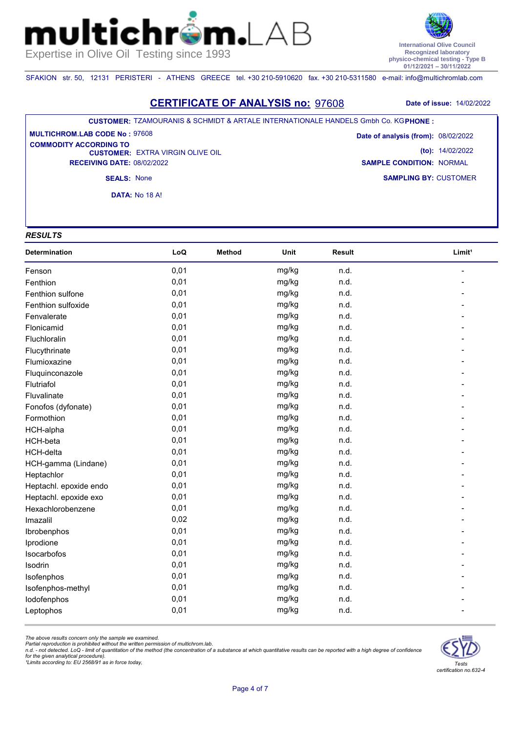

SFAKION str. 50, 12131 PERISTERI - ATHENS GREECE tel. +30 210-5910620 fax. +30 210-5311580 e-mail: info@multichromlab.com

 $\mathsf{n}\bot$ 

### **CERTIFICATE OF ANALYSIS no:** 97608 **Date of issue:** 14/02/2022

#### **CUSTOMER:** TZAMOURANIS & SCHMIDT & ARTALE INTERNATIONALE HANDELS Gmbh Co. KG **PHONE :**

**CUSTOMER: EXTRA VIRGIN OLIVE OIL RECEIVING DATE:** 08/02/2022 **MULTICHROM.LAB CODE No :** 97608 **COMMODITY ACCORDING TO** 

**SAMPLING BY:** CUSTOMER **Date of analysis (from):** 08/02/2022 **(to):** 14/02/2022 **SAMPLE CONDITION:** NORMAL

**SEALS:** None

**DATA:** Νο 18 Α!

## *RESULTS*

mul

| <b>Determination</b>   | LoQ  | <b>Method</b> | Unit  | Result | Limit <sup>1</sup> |
|------------------------|------|---------------|-------|--------|--------------------|
| Fenson                 | 0,01 |               | mg/kg | n.d.   |                    |
| Fenthion               | 0,01 |               | mg/kg | n.d.   |                    |
| Fenthion sulfone       | 0,01 |               | mg/kg | n.d.   |                    |
| Fenthion sulfoxide     | 0,01 |               | mg/kg | n.d.   |                    |
| Fenvalerate            | 0,01 |               | mg/kg | n.d.   |                    |
| Flonicamid             | 0,01 |               | mg/kg | n.d.   |                    |
| Fluchloralin           | 0,01 |               | mg/kg | n.d.   |                    |
| Flucythrinate          | 0,01 |               | mg/kg | n.d.   |                    |
| Flumioxazine           | 0,01 |               | mg/kg | n.d.   |                    |
| Fluquinconazole        | 0,01 |               | mg/kg | n.d.   |                    |
| Flutriafol             | 0,01 |               | mg/kg | n.d.   |                    |
| Fluvalinate            | 0,01 |               | mg/kg | n.d.   |                    |
| Fonofos (dyfonate)     | 0,01 |               | mg/kg | n.d.   |                    |
| Formothion             | 0,01 |               | mg/kg | n.d.   |                    |
| HCH-alpha              | 0,01 |               | mg/kg | n.d.   |                    |
| HCH-beta               | 0,01 |               | mg/kg | n.d.   |                    |
| HCH-delta              | 0,01 |               | mg/kg | n.d.   |                    |
| HCH-gamma (Lindane)    | 0,01 |               | mg/kg | n.d.   |                    |
| Heptachlor             | 0,01 |               | mg/kg | n.d.   |                    |
| Heptachl. epoxide endo | 0,01 |               | mg/kg | n.d.   |                    |
| Heptachl. epoxide exo  | 0,01 |               | mg/kg | n.d.   |                    |
| Hexachlorobenzene      | 0,01 |               | mg/kg | n.d.   |                    |
| Imazalil               | 0,02 |               | mg/kg | n.d.   |                    |
| Ibrobenphos            | 0,01 |               | mg/kg | n.d.   |                    |
| Iprodione              | 0,01 |               | mg/kg | n.d.   |                    |
| Isocarbofos            | 0,01 |               | mg/kg | n.d.   |                    |
| Isodrin                | 0,01 |               | mg/kg | n.d.   |                    |
| Isofenphos             | 0,01 |               | mg/kg | n.d.   |                    |
| Isofenphos-methyl      | 0,01 |               | mg/kg | n.d.   |                    |
| lodofenphos            | 0,01 |               | mg/kg | n.d.   |                    |
| Leptophos              | 0,01 |               | mg/kg | n.d.   |                    |

*The above results concern only the sample we examined.* 

Partial reproduction is prohibited without the written permission of multichrom.lab.<br>n.d. - not detected. LoQ - limit of quantitation of the method (the concentration of a substance at which quantitative results can be rep

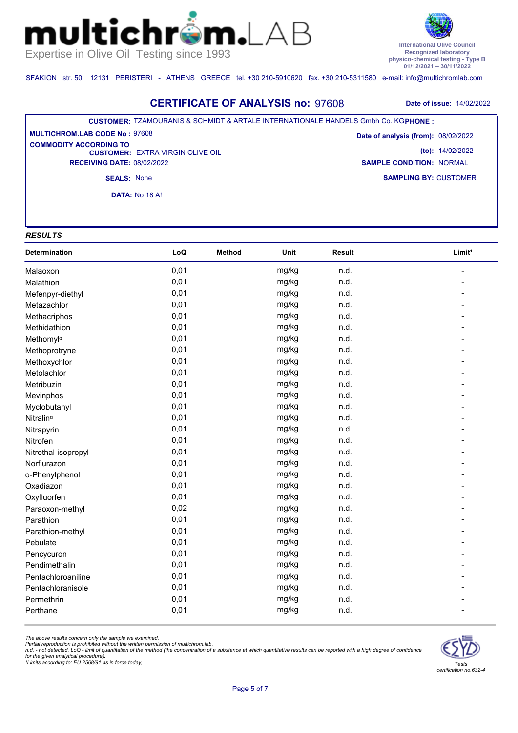

SFAKION str. 50, 12131 PERISTERI - ATHENS GREECE tel. +30 210-5910620 fax. +30 210-5311580 e-mail: info@multichromlab.com

 $\mathsf{n}\bot$ 

### **CERTIFICATE OF ANALYSIS no:** 97608 **Date of issue:** 14/02/2022

#### **CUSTOMER:** TZAMOURANIS & SCHMIDT & ARTALE INTERNATIONALE HANDELS Gmbh Co. KG **PHONE :**

**CUSTOMER: EXTRA VIRGIN OLIVE OIL RECEIVING DATE:** 08/02/2022 **MULTICHROM.LAB CODE No :** 97608 **COMMODITY ACCORDING TO** 

**SAMPLING BY:** CUSTOMER **Date of analysis (from):** 08/02/2022 **(to):** 14/02/2022 **SAMPLE CONDITION:** NORMAL

**SEALS:** None

**DATA:** Νο 18 Α!

## *RESULTS*

mul

| <b>Determination</b>  | LoQ  | <b>Method</b> | Unit  | Result | Limit <sup>1</sup> |
|-----------------------|------|---------------|-------|--------|--------------------|
| Malaoxon              | 0,01 |               | mg/kg | n.d.   |                    |
| Malathion             | 0,01 |               | mg/kg | n.d.   |                    |
| Mefenpyr-diethyl      | 0,01 |               | mg/kg | n.d.   |                    |
| Metazachlor           | 0,01 |               | mg/kg | n.d.   |                    |
| Methacriphos          | 0,01 |               | mg/kg | n.d.   |                    |
| Methidathion          | 0,01 |               | mg/kg | n.d.   |                    |
| Methomyla             | 0,01 |               | mg/kg | n.d.   |                    |
| Methoprotryne         | 0,01 |               | mg/kg | n.d.   |                    |
| Methoxychlor          | 0,01 |               | mg/kg | n.d.   |                    |
| Metolachlor           | 0,01 |               | mg/kg | n.d.   |                    |
| Metribuzin            | 0,01 |               | mg/kg | n.d.   |                    |
| Mevinphos             | 0,01 |               | mg/kg | n.d.   |                    |
| Myclobutanyl          | 0,01 |               | mg/kg | n.d.   |                    |
| Nitralin <sup>a</sup> | 0,01 |               | mg/kg | n.d.   |                    |
| Nitrapyrin            | 0,01 |               | mg/kg | n.d.   |                    |
| Nitrofen              | 0,01 |               | mg/kg | n.d.   |                    |
| Nitrothal-isopropyl   | 0,01 |               | mg/kg | n.d.   |                    |
| Norflurazon           | 0,01 |               | mg/kg | n.d.   |                    |
| o-Phenylphenol        | 0,01 |               | mg/kg | n.d.   |                    |
| Oxadiazon             | 0,01 |               | mg/kg | n.d.   |                    |
| Oxyfluorfen           | 0,01 |               | mg/kg | n.d.   |                    |
| Paraoxon-methyl       | 0,02 |               | mg/kg | n.d.   |                    |
| Parathion             | 0,01 |               | mg/kg | n.d.   |                    |
| Parathion-methyl      | 0,01 |               | mg/kg | n.d.   |                    |
| Pebulate              | 0,01 |               | mg/kg | n.d.   |                    |
| Pencycuron            | 0,01 |               | mg/kg | n.d.   |                    |
| Pendimethalin         | 0,01 |               | mg/kg | n.d.   |                    |
| Pentachloroaniline    | 0,01 |               | mg/kg | n.d.   |                    |
| Pentachloranisole     | 0,01 |               | mg/kg | n.d.   |                    |
| Permethrin            | 0,01 |               | mg/kg | n.d.   |                    |
| Perthane              | 0,01 |               | mg/kg | n.d.   |                    |

*The above results concern only the sample we examined.* 

Partial reproduction is prohibited without the written permission of multichrom.lab.<br>n.d. - not detected. LoQ - limit of quantitation of the method (the concentration of a substance at which quantitative results can be rep

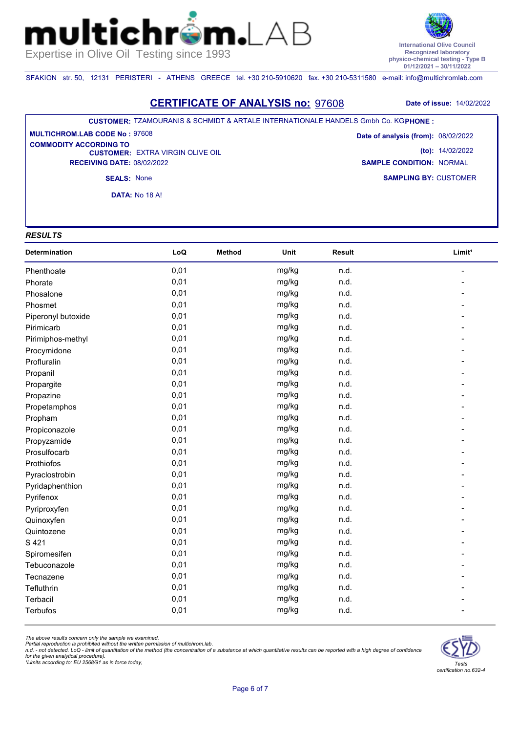

SFAKION str. 50, 12131 PERISTERI - ATHENS GREECE tel. +30 210-5910620 fax. +30 210-5311580 e-mail: info@multichromlab.com

 $\mathbf{n}$ 

### **CERTIFICATE OF ANALYSIS no:** 97608 **Date of issue:** 14/02/2022

#### **CUSTOMER:** TZAMOURANIS & SCHMIDT & ARTALE INTERNATIONALE HANDELS Gmbh Co. KG **PHONE :**

**CUSTOMER: EXTRA VIRGIN OLIVE OIL RECEIVING DATE:** 08/02/2022 **MULTICHROM.LAB CODE No :** 97608 **COMMODITY ACCORDING TO** 

**SAMPLING BY:** CUSTOMER **Date of analysis (from):** 08/02/2022 **(to):** 14/02/2022 **SAMPLE CONDITION:** NORMAL

**SEALS:** None

**DATA:** Νο 18 Α!

### *RESULTS*

mul

| Determination      | LoQ  | Method | Unit  | <b>Result</b> | Limit <sup>1</sup> |
|--------------------|------|--------|-------|---------------|--------------------|
| Phenthoate         | 0,01 |        | mg/kg | n.d.          |                    |
| Phorate            | 0,01 |        | mg/kg | n.d.          |                    |
| Phosalone          | 0,01 |        | mg/kg | n.d.          |                    |
| Phosmet            | 0,01 |        | mg/kg | n.d.          |                    |
| Piperonyl butoxide | 0,01 |        | mg/kg | n.d.          |                    |
| Pirimicarb         | 0,01 |        | mg/kg | n.d.          |                    |
| Pirimiphos-methyl  | 0,01 |        | mg/kg | n.d.          |                    |
| Procymidone        | 0,01 |        | mg/kg | n.d.          |                    |
| Profluralin        | 0,01 |        | mg/kg | n.d.          |                    |
| Propanil           | 0,01 |        | mg/kg | n.d.          |                    |
| Propargite         | 0,01 |        | mg/kg | n.d.          |                    |
| Propazine          | 0,01 |        | mg/kg | n.d.          |                    |
| Propetamphos       | 0,01 |        | mg/kg | n.d.          |                    |
| Propham            | 0,01 |        | mg/kg | n.d.          |                    |
| Propiconazole      | 0,01 |        | mg/kg | n.d.          |                    |
| Propyzamide        | 0,01 |        | mg/kg | n.d.          |                    |
| Prosulfocarb       | 0,01 |        | mg/kg | n.d.          |                    |
| Prothiofos         | 0,01 |        | mg/kg | n.d.          |                    |
| Pyraclostrobin     | 0,01 |        | mg/kg | n.d.          |                    |
| Pyridaphenthion    | 0,01 |        | mg/kg | n.d.          |                    |
| Pyrifenox          | 0,01 |        | mg/kg | n.d.          |                    |
| Pyriproxyfen       | 0,01 |        | mg/kg | n.d.          |                    |
| Quinoxyfen         | 0,01 |        | mg/kg | n.d.          |                    |
| Quintozene         | 0,01 |        | mg/kg | n.d.          |                    |
| S 421              | 0,01 |        | mg/kg | n.d.          |                    |
| Spiromesifen       | 0,01 |        | mg/kg | n.d.          |                    |
| Tebuconazole       | 0,01 |        | mg/kg | n.d.          |                    |
| Tecnazene          | 0,01 |        | mg/kg | n.d.          |                    |
| Tefluthrin         | 0,01 |        | mg/kg | n.d.          |                    |
| Terbacil           | 0,01 |        | mg/kg | n.d.          |                    |
| <b>Terbufos</b>    | 0,01 |        | mg/kg | n.d.          |                    |

*The above results concern only the sample we examined.* 

Partial reproduction is prohibited without the written permission of multichrom.lab.<br>n.d. - not detected. LoQ - limit of quantitation of the method (the concentration of a substance at which quantitative results can be rep